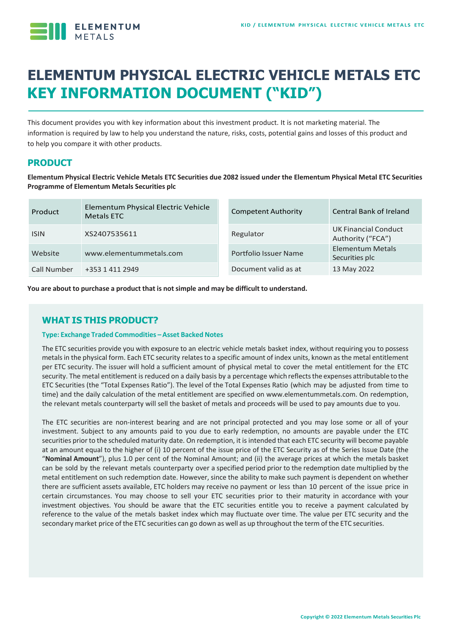

# **ELEMENTUM PHYSICAL ELECTRIC VEHICLE METALS ETC KEY INFORMATION DOCUMENT ("KID")**

This document provides you with key information about this investment product. It is not marketing material. The information is required by law to help you understand the nature, risks, costs, potential gains and losses of this product and to help you compare it with other products.

# **PRODUCT**

**Elementum Physical Electric Vehicle Metals ETC Securities due 2082 issued under the Elementum Physical Metal ETC Securities Programme of Elementum Metals Securities plc**

| Product     | Elementum Physical Electric Vehicle<br>Metals ETC | <b>Competent Authority</b> | <b>Central Bank of Ireland</b>            |
|-------------|---------------------------------------------------|----------------------------|-------------------------------------------|
| <b>ISIN</b> | XS2407535611                                      | Regulator                  | UK Financial Conduct<br>Authority ("FCA") |
| Website     | www.elementummetals.com                           | Portfolio Issuer Name      | Elementum Metals<br>Securities plc        |
| Call Number | +353 1 411 2949                                   | Document valid as at       | 13 May 2022                               |

**You are about to purchase a product that is notsimple and may be difficult to understand.**

# **WHAT IS THIS PRODUCT?**

#### **Type: Exchange Traded Commodities –Asset Backed Notes**

The ETC securities provide you with exposure to an electric vehicle metals basket index, without requiring you to possess metals in the physical form. Each ETC security relates to a specific amount of index units, known as the metal entitlement per ETC security. The issuer will hold a sufficient amount of physical metal to cover the metal entitlement for the ETC security. The metal entitlement is reduced on a daily basis by a percentage which reflectsthe expenses attributable to the ETC Securities (the "Total Expenses Ratio"). The level of the Total Expenses Ratio (which may be adjusted from time to time) and the daily calculation of the metal entitlement are specified on www.elementummetals.com. On redemption, the relevant metals counterparty will sell the basket of metals and proceeds will be used to pay amounts due to you.

The ETC securities are non-interest bearing and are not principal protected and you may lose some or all of your investment. Subject to any amounts paid to you due to early redemption, no amounts are payable under the ETC securities prior to the scheduled maturity date. On redemption, it is intended that each ETC security will become payable at an amount equal to the higher of (i) 10 percent of the issue price of the ETC Security as of the Series Issue Date (the "**Nominal Amount**"), plus 1.0 per cent of the Nominal Amount; and (ii) the average prices at which the metals basket can be sold by the relevant metals counterparty over a specified period prior to the redemption date multiplied by the metal entitlement on such redemption date. However, since the ability to make such payment is dependent on whether there are sufficient assets available, ETC holders may receive no payment or less than 10 percent of the issue price in certain circumstances. You may choose to sell your ETC securities prior to their maturity in accordance with your investment objectives. You should be aware that the ETC securities entitle you to receive a payment calculated by reference to the value of the metals basket index which may fluctuate over time. The value per ETC security and the secondary market price of the ETC securities can go down as well as up throughout the term of the ETC securities.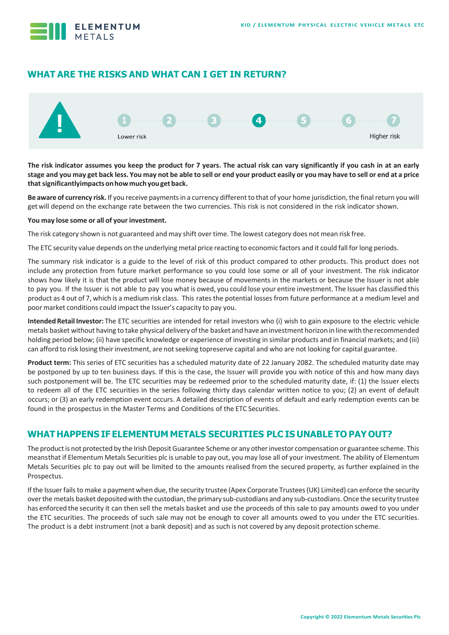

# **WHAT ARE THE RISKS AND WHAT CAN I GET IN RETURN?**



**The risk indicator assumes you keep the product for 7 years. The actual risk can vary significantly if you cash in at an early**  stage and you may get back less. You may not be able to sell or end your product easily or you may have to sell or end at a price **thatsignificantlyimpactsonhowmuchyougetback.**

Be aware of currency risk. If you receive payments in a currency different to that of your home jurisdiction, the final return you will getwill depend on the exchange rate between the two currencies. This risk is not considered in the risk indicator shown.

#### **You may lose some or all of your investment.**

The risk category shown is not guaranteed and may shift over time. The lowest category does not mean risk free.

The ETC security value depends on the underlying metal price reacting to economic factors and it could fall forlong periods.

The summary risk indicator is a guide to the level of risk of this product compared to other products. This product does not include any protection from future market performance so you could lose some or all of your investment. The risk indicator shows how likely it is that the product will lose money because of movements in the markets or because the Issuer is not able to pay you. If the Issuer is not able to pay you what is owed, you could lose your entire investment. The Issuer has classified this product as 4 out of 7, which is a medium risk class. This rates the potential losses from future performance at a medium level and poor market conditions could impact the Issuer's capacity to pay you.

**Intended Retail Investor:** The ETC securities are intended for retail investors who (i) wish to gain exposure to the electric vehicle metals basket without having to take physical delivery ofthe basket and have an investment horizon in line with the recommended holding period below; (ii) have specific knowledge or experience of investing in similar products and in financial markets; and (iii) can afford to risk losing theirinvestment, are notseeking topreserve capital and who are not looking for capital guarantee.

**Product term:** This series of ETC securities has a scheduled maturity date of 22 January 2082. The scheduled maturity date may be postponed by up to ten business days. If this is the case, the Issuer will provide you with notice of this and how many days such postponement will be. The ETC securities may be redeemed prior to the scheduled maturity date, if: (1) the Issuer elects to redeem all of the ETC securities in the series following thirty days calendar written notice to you; (2) an event of default occurs; or (3) an early redemption event occurs. A detailed description of events of default and early redemption events can be found in the prospectus in the Master Terms and Conditions of the ETC Securities.

# **WHAT HAPPENS IF ELEMENTUM METALS SECURITIES PLC IS UNABLE TO PAYOUT?**

The product is not protected by the Irish Deposit Guarantee Scheme or any other investor compensation or guarantee scheme. This meansthat if Elementum Metals Securities plc is unable to pay out, you may lose all of your investment. The ability of Elementum Metals Securities plc to pay out will be limited to the amounts realised from the secured property, as further explained in the Prospectus.

If the Issuer fails to make a payment when due, the security trustee (Apex Corporate Trustees (UK) Limited) can enforce the security over the metals basket deposited with the custodian, the primary sub-custodians and any sub-custodians. Once the security trustee has enforced the security it can then sell the metals basket and use the proceeds of this sale to pay amounts owed to you under the ETC securities. The proceeds of such sale may not be enough to cover all amounts owed to you under the ETC securities. The product is a debt instrument (not a bank deposit) and as such is not covered by any deposit protection scheme.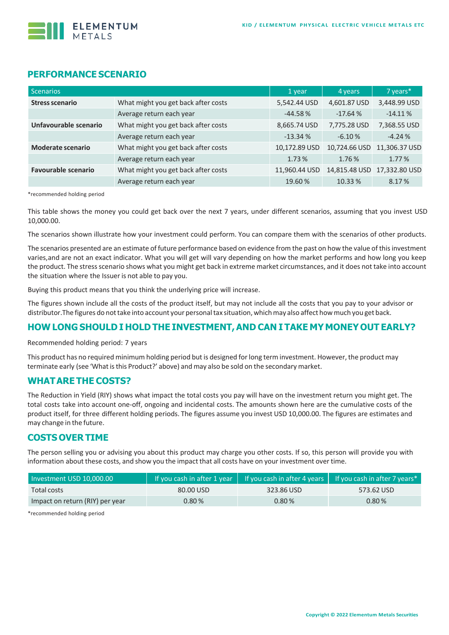

## **PERFORMANCE SCENARIO**

| Scenarios                                                    |                                     | 1 year        | 4 years       | 7 years*      |
|--------------------------------------------------------------|-------------------------------------|---------------|---------------|---------------|
| <b>Stress scenario</b>                                       | What might you get back after costs | 5,542.44 USD  | 4,601.87 USD  | 3,448.99 USD  |
|                                                              | Average return each year            | $-44.58%$     | $-17.64%$     | $-14.11%$     |
| What might you get back after costs<br>Unfavourable scenario |                                     | 8,665.74 USD  | 7,775.28 USD  | 7,368.55 USD  |
|                                                              | Average return each year            | $-13.34%$     | $-6.10%$      | $-4.24%$      |
| <b>Moderate scenario</b>                                     | What might you get back after costs | 10,172.89 USD | 10,724.66 USD | 11,306.37 USD |
|                                                              | Average return each year            | 1.73%         | 1.76%         | 1.77%         |
| <b>Favourable scenario</b>                                   | What might you get back after costs | 11,960.44 USD | 14,815.48 USD | 17,332.80 USD |
|                                                              | Average return each year            | 19.60%        | 10.33 %       | 8.17%         |

\*recommended holding period

This table shows the money you could get back over the next 7 years, under different scenarios, assuming that you invest USD 10,000.00.

The scenarios shown illustrate how your investment could perform. You can compare them with the scenarios of other products.

The scenarios presented are an estimate of future performance based on evidence from the past on how the value of this investment varies,and are not an exact indicator. What you will get will vary depending on how the market performs and how long you keep the product. The stressscenario shows what you might get back in extreme market circumstances, and it does not take into account the situation where the Issuer is not able to pay you.

Buying this product means that you think the underlying price will increase.

The figures shown include all the costs of the product itself, but may not include all the costs that you pay to your advisor or distributor.The figures do nottake into account your personaltax situation, whichmay also affect howmuch you get back.

#### **HOW LONG SHOULD I HOLD THE INVESTMENT,AND CAN I TAKE MY MONEY OUT EARLY?**

Recommended holding period: 7 years

This product has no required minimum holding period but is designed forlong term investment. However, the product may terminate early (see 'What is this Product?' above) and may also be sold on the secondary market.

#### **WHATARE THE COSTS?**

The Reduction in Yield (RIY) shows what impact the total costs you pay will have on the investment return you might get. The total costs take into account one-off, ongoing and incidental costs. The amounts shown here are the cumulative costs of the product itself, for three different holding periods. The figures assume you invest USD 10,000.00. The figures are estimates and may change in the future.

## **COSTS OVER TIME**

The person selling you or advising you about this product may charge you other costs. If so, this person will provide you with information about these costs, and show you the impact that all costs have on your investment over time.

| Investment USD 10,000.00        |           |            | If you cash in after 1 year $\parallel$ If you cash in after 4 years $\parallel$ If you cash in after 7 years* $\parallel$ |  |
|---------------------------------|-----------|------------|----------------------------------------------------------------------------------------------------------------------------|--|
| Total costs                     | 80.00 USD | 323.86 USD | 573.62 USD                                                                                                                 |  |
| Impact on return (RIY) per year | $0.80\%$  | 0.80%      | 0.80%                                                                                                                      |  |

\*recommended holding period